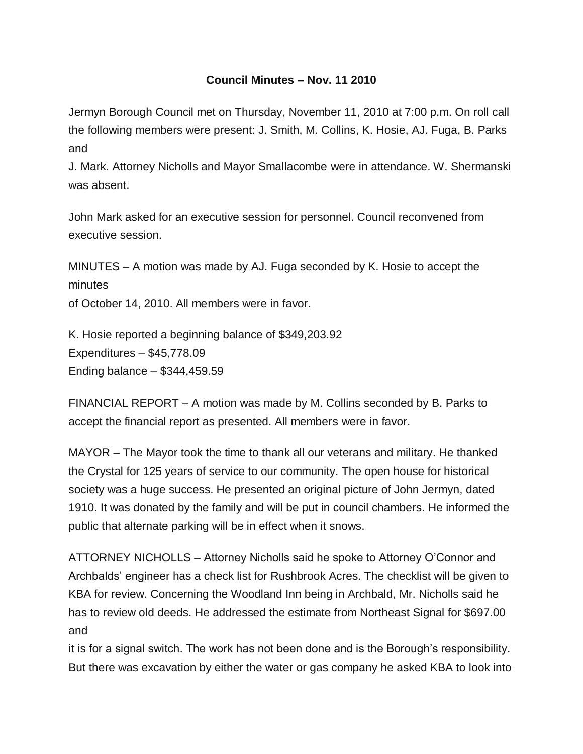## **Council Minutes – Nov. 11 2010**

Jermyn Borough Council met on Thursday, November 11, 2010 at 7:00 p.m. On roll call the following members were present: J. Smith, M. Collins, K. Hosie, AJ. Fuga, B. Parks and

J. Mark. Attorney Nicholls and Mayor Smallacombe were in attendance. W. Shermanski was absent.

John Mark asked for an executive session for personnel. Council reconvened from executive session.

MINUTES – A motion was made by AJ. Fuga seconded by K. Hosie to accept the minutes

of October 14, 2010. All members were in favor.

K. Hosie reported a beginning balance of \$349,203.92 Expenditures – \$45,778.09 Ending balance – \$344,459.59

FINANCIAL REPORT – A motion was made by M. Collins seconded by B. Parks to accept the financial report as presented. All members were in favor.

MAYOR – The Mayor took the time to thank all our veterans and military. He thanked the Crystal for 125 years of service to our community. The open house for historical society was a huge success. He presented an original picture of John Jermyn, dated 1910. It was donated by the family and will be put in council chambers. He informed the public that alternate parking will be in effect when it snows.

ATTORNEY NICHOLLS – Attorney Nicholls said he spoke to Attorney O'Connor and Archbalds' engineer has a check list for Rushbrook Acres. The checklist will be given to KBA for review. Concerning the Woodland Inn being in Archbald, Mr. Nicholls said he has to review old deeds. He addressed the estimate from Northeast Signal for \$697.00 and

it is for a signal switch. The work has not been done and is the Borough's responsibility. But there was excavation by either the water or gas company he asked KBA to look into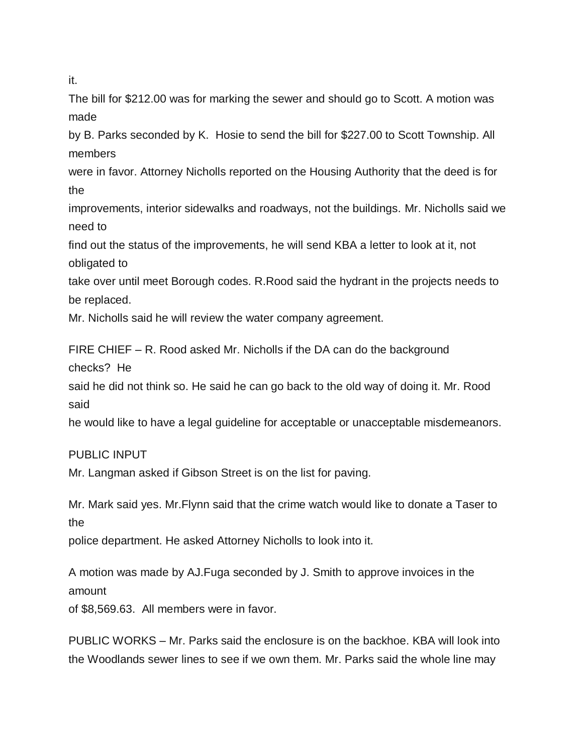it.

The bill for \$212.00 was for marking the sewer and should go to Scott. A motion was made

by B. Parks seconded by K. Hosie to send the bill for \$227.00 to Scott Township. All members

were in favor. Attorney Nicholls reported on the Housing Authority that the deed is for the

improvements, interior sidewalks and roadways, not the buildings. Mr. Nicholls said we need to

find out the status of the improvements, he will send KBA a letter to look at it, not obligated to

take over until meet Borough codes. R.Rood said the hydrant in the projects needs to be replaced.

Mr. Nicholls said he will review the water company agreement.

FIRE CHIEF – R. Rood asked Mr. Nicholls if the DA can do the background checks? He

said he did not think so. He said he can go back to the old way of doing it. Mr. Rood said

he would like to have a legal guideline for acceptable or unacceptable misdemeanors.

## PUBLIC INPUT

Mr. Langman asked if Gibson Street is on the list for paving.

Mr. Mark said yes. Mr.Flynn said that the crime watch would like to donate a Taser to the

police department. He asked Attorney Nicholls to look into it.

A motion was made by AJ.Fuga seconded by J. Smith to approve invoices in the amount

of \$8,569.63. All members were in favor.

PUBLIC WORKS – Mr. Parks said the enclosure is on the backhoe. KBA will look into the Woodlands sewer lines to see if we own them. Mr. Parks said the whole line may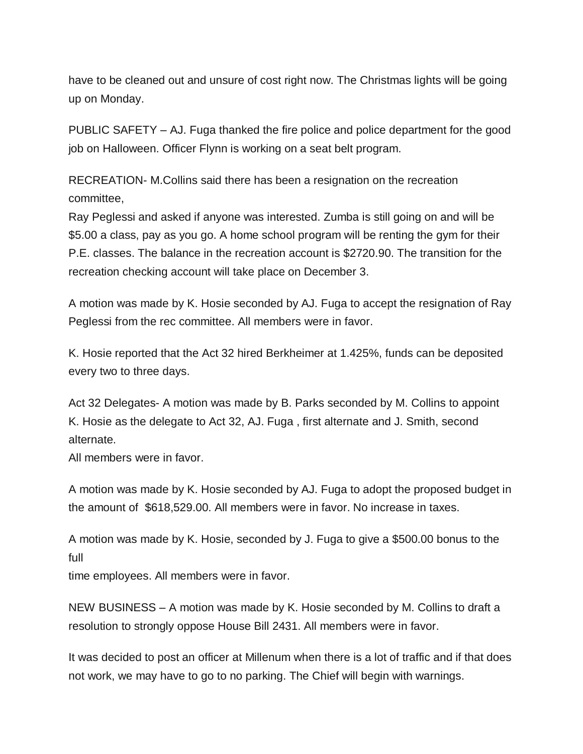have to be cleaned out and unsure of cost right now. The Christmas lights will be going up on Monday.

PUBLIC SAFETY – AJ. Fuga thanked the fire police and police department for the good job on Halloween. Officer Flynn is working on a seat belt program.

RECREATION- M.Collins said there has been a resignation on the recreation committee,

Ray Peglessi and asked if anyone was interested. Zumba is still going on and will be \$5.00 a class, pay as you go. A home school program will be renting the gym for their P.E. classes. The balance in the recreation account is \$2720.90. The transition for the recreation checking account will take place on December 3.

A motion was made by K. Hosie seconded by AJ. Fuga to accept the resignation of Ray Peglessi from the rec committee. All members were in favor.

K. Hosie reported that the Act 32 hired Berkheimer at 1.425%, funds can be deposited every two to three days.

Act 32 Delegates- A motion was made by B. Parks seconded by M. Collins to appoint K. Hosie as the delegate to Act 32, AJ. Fuga , first alternate and J. Smith, second alternate.

All members were in favor.

A motion was made by K. Hosie seconded by AJ. Fuga to adopt the proposed budget in the amount of \$618,529.00. All members were in favor. No increase in taxes.

A motion was made by K. Hosie, seconded by J. Fuga to give a \$500.00 bonus to the full

time employees. All members were in favor.

NEW BUSINESS – A motion was made by K. Hosie seconded by M. Collins to draft a resolution to strongly oppose House Bill 2431. All members were in favor.

It was decided to post an officer at Millenum when there is a lot of traffic and if that does not work, we may have to go to no parking. The Chief will begin with warnings.